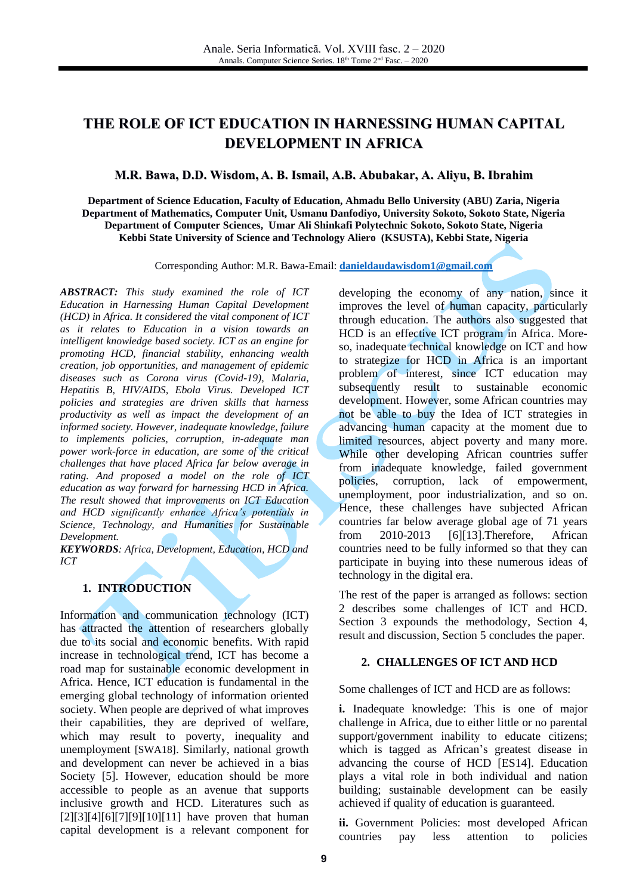# **THE ROLE OF ICT EDUCATION IN HARNESSING HUMAN CAPITAL DEVELOPMENT IN AFRICA**

### **M.R. Bawa, D.D. Wisdom, A. B. Ismail, A.B. Abubakar, A. Aliyu, B. Ibrahim**

**Department of Science Education, Faculty of Education, Ahmadu Bello University (ABU) Zaria, Nigeria Department of Mathematics, Computer Unit, Usmanu Danfodiyo, University Sokoto, Sokoto State, Nigeria Department of Computer Sciences, Umar Ali Shinkafi Polytechnic Sokoto, Sokoto State, Nigeria Kebbi State University of Science and Technology Aliero (KSUSTA), Kebbi State, Nigeria**

Corresponding Author: M.R. Bawa-Email: **[danieldaudawisdom1@gmail.com](mailto:danieldaudawisdom1@gmail.com)**

*ABSTRACT: This study examined the role of ICT Education in Harnessing Human Capital Development (HCD) in Africa. It considered the vital component of ICT as it relates to Education in a vision towards an intelligent knowledge based society. ICT as an engine for promoting HCD, financial stability, enhancing wealth creation, job opportunities, and management of epidemic diseases such as Corona virus (Covid-19), Malaria, Hepatitis B, HIV/AIDS, Ebola Virus. Developed ICT policies and strategies are driven skills that harness productivity as well as impact the development of an informed society. However, inadequate knowledge, failure to implements policies, corruption, in-adequate man power work-force in education, are some of the critical challenges that have placed Africa far below average in rating. And proposed a model on the role of ICT education as way forward for harnessing HCD in Africa. The result showed that improvements on ICT Education and HCD significantly enhance Africa's potentials in Science, Technology, and Humanities for Sustainable Development.*

*KEYWORDS: Africa, Development, Education, HCD and ICT*

### **1. INTRODUCTION**

Information and communication technology (ICT) has attracted the attention of researchers globally due to its social and economic benefits. With rapid increase in technological trend, ICT has become a road map for sustainable economic development in Africa. Hence, ICT education is fundamental in the emerging global technology of information oriented society. When people are deprived of what improves their capabilities, they are deprived of welfare, which may result to poverty, inequality and unemployment [SWA18]. Similarly, national growth and development can never be achieved in a bias Society [\[5\].](#page-4-0) However, education should be more accessible to people as an avenue that supports inclusive growth and HCD. Literatures such as  $[2][3][4][6][7][9][10][11]$  $[2][3][4][6][7][9][10][11]$  $[2][3][4][6][7][9][10][11]$  $[2][3][4][6][7][9][10][11]$  $[2][3][4][6][7][9][10][11]$  $[2][3][4][6][7][9][10][11]$  $[2][3][4][6][7][9][10][11]$  $[2][3][4][6][7][9][10][11]$  have proven that human capital development is a relevant component for developing the economy of any nation, since it improves the level of human capacity, particularly through education. The authors also suggested that HCD is an effective ICT program in Africa. Moreso, inadequate technical knowledge on ICT and how to strategize for HCD in Africa is an important problem of interest, since ICT education may subsequently result to sustainable economic development. However, some African countries may not be able to buy the Idea of ICT strategies in advancing human capacity at the moment due to limited resources, abject poverty and many more. While other developing African countries suffer from inadequate knowledge, failed government policies, corruption, lack of empowerment, unemployment, poor industrialization, and so on. Hence, these challenges have subjected African countries far below average global age of 71 years from 2010-2013 [\[6\]](#page-4-4)[\[13\].](#page-4-9)Therefore, African countries need to be fully informed so that they can participate in buying into these numerous ideas of technology in the digital era.

The rest of the paper is arranged as follows: section 2 describes some challenges of ICT and HCD. Section 3 expounds the methodology, Section 4, result and discussion, Section 5 concludes the paper.

#### **2. CHALLENGES OF ICT AND HCD**

Some challenges of ICT and HCD are as follows:

**i.** Inadequate knowledge: This is one of major challenge in Africa, due to either little or no parental support/government inability to educate citizens; which is tagged as African's greatest disease in advancing the course of HCD [ES14]. Education plays a vital role in both individual and nation building; sustainable development can be easily achieved if quality of education is guaranteed.

**ii.** Government Policies: most developed African countries pay less attention to policies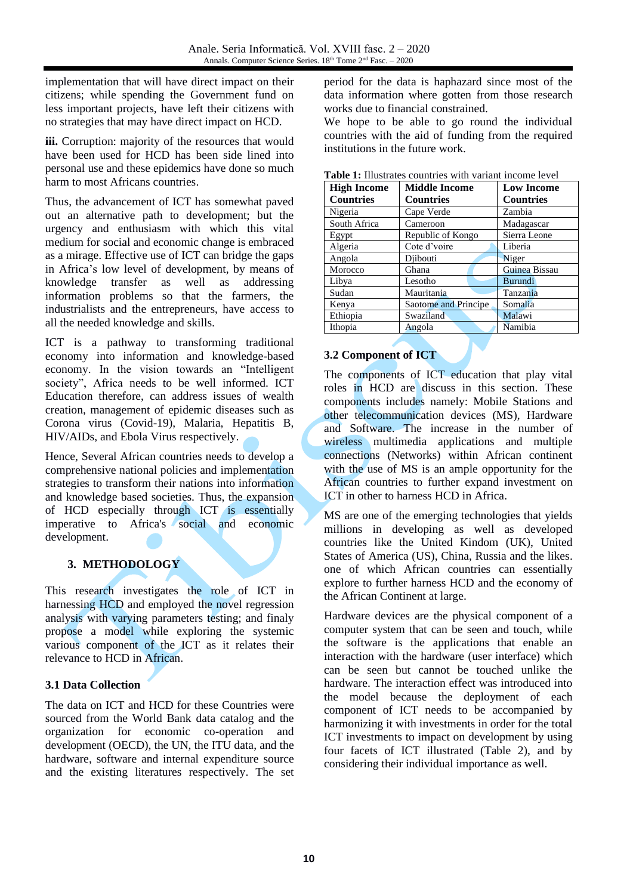implementation that will have direct impact on their citizens; while spending the Government fund on less important projects, have left their citizens with no strategies that may have direct impact on HCD.

iii. Corruption: majority of the resources that would have been used for HCD has been side lined into personal use and these epidemics have done so much harm to most Africans countries.

Thus, the advancement of ICT has somewhat paved out an alternative path to development; but the urgency and enthusiasm with which this vital medium for social and economic change is embraced as a mirage. Effective use of ICT can bridge the gaps in Africa's low level of development, by means of knowledge transfer as well as addressing information problems so that the farmers, the industrialists and the entrepreneurs, have access to all the needed knowledge and skills.

ICT is a pathway to transforming traditional economy into information and knowledge-based economy. In the vision towards an "Intelligent society", Africa needs to be well informed. ICT Education therefore, can address issues of wealth creation, management of epidemic diseases such as Corona virus (Covid-19), Malaria, Hepatitis B, HIV/AIDs, and Ebola Virus respectively.

Hence, Several African countries needs to develop a comprehensive national policies and implementation strategies to transform their nations into information and knowledge based societies. Thus, the expansion of HCD especially through ICT is essentially imperative to Africa's social and economic development.

## **3. METHODOLOGY**

This research investigates the role of ICT in harnessing HCD and employed the novel regression analysis with varying parameters testing; and finaly propose a model while exploring the systemic various component of the ICT as it relates their relevance to HCD in African.

### **3.1 Data Collection**

The data on ICT and HCD for these Countries were sourced from the World Bank data catalog and the organization for economic co-operation and development (OECD), the UN, the ITU data, and the hardware, software and internal expenditure source and the existing literatures respectively. The set

period for the data is haphazard since most of the data information where gotten from those research works due to financial constrained.

We hope to be able to go round the individual countries with the aid of funding from the required institutions in the future work.

| <b>Table 1:</b> Illustrates countries with variant income level |                      |                   |  |  |
|-----------------------------------------------------------------|----------------------|-------------------|--|--|
| <b>High Income</b>                                              | <b>Middle Income</b> | <b>Low Income</b> |  |  |
| <b>Countries</b>                                                | <b>Countries</b>     | <b>Countries</b>  |  |  |
| Nigeria                                                         | Cape Verde           | Zambia            |  |  |
| South Africa                                                    | Cameroon             | Madagascar        |  |  |
| Egypt                                                           | Republic of Kongo    | Sierra Leone      |  |  |
| Algeria                                                         | Cote d'voire         | Liberia           |  |  |
| Angola                                                          | Djibouti             | Niger             |  |  |
| Morocco                                                         | Ghana                | Guinea Bissau     |  |  |
| Libya                                                           | Lesotho              | Burundi           |  |  |
| Sudan                                                           | Mauritania           | Tanzania          |  |  |
| Kenya                                                           | Saotome and Principe | Somalia           |  |  |
| Ethiopia                                                        | Swaziland            | Malawi            |  |  |
| Ithopia                                                         | Angola               | Namibia           |  |  |

### **Table 1:** Illustrates countries with variant income level

# **3.2 Component of ICT**

The components of ICT education that play vital roles in HCD are discuss in this section. These components includes namely: Mobile Stations and other telecommunication devices (MS), Hardware and Software. The increase in the number of wireless multimedia applications and multiple connections (Networks) within African continent with the use of MS is an ample opportunity for the African countries to further expand investment on ICT in other to harness HCD in Africa.

MS are one of the emerging technologies that yields millions in developing as well as developed countries like the United Kindom (UK), United States of America (US), China, Russia and the likes. one of which African countries can essentially explore to further harness HCD and the economy of the African Continent at large.

Hardware devices are the physical component of a computer system that can be seen and touch, while the software is the applications that enable an interaction with the hardware (user interface) which can be seen but cannot be touched unlike the hardware. The interaction effect was introduced into the model because the deployment of each component of ICT needs to be accompanied by harmonizing it with investments in order for the total ICT investments to impact on development by using four facets of ICT illustrated (Table 2), and by considering their individual importance as well.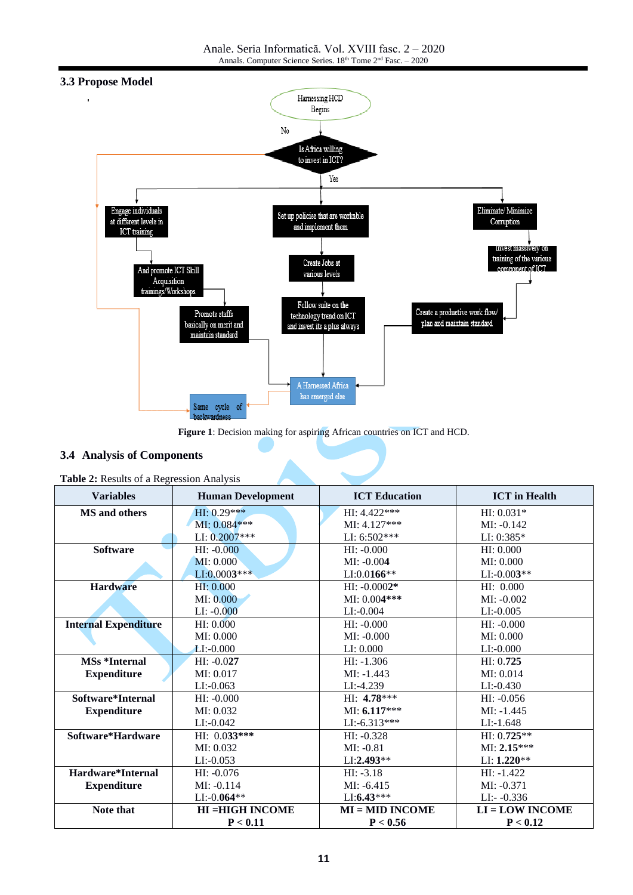Anale. Seria Informatică. Vol. XVIII fasc. 2 – 2020 Annals. Computer Science Series. 18<sup>th</sup> Tome 2<sup>nd</sup> Fasc. – 2020



#### **Figure 1**: Decision making for aspiring African countries on ICT and HCD.

### **3.4 Analysis of Components**

| <b>Variables</b>            | <b>Human Development</b> | <b>ICT</b> Education | <b>ICT</b> in Health |
|-----------------------------|--------------------------|----------------------|----------------------|
| MS and others               | HI: 0.29***              | HI: 4.422***         | $HI: 0.031*$         |
|                             | MI: 0.084***             | $MI: 4.127***$       | $MI: -0.142$         |
|                             | LI: $0.2007***$          | LI: 6:502***         | LI: 0:385*           |
| <b>Software</b>             | $HI: -0.000$             | $HI: -0.000$         | HI: 0.000            |
|                             | MI: 0.000                | $MI: -0.004$         | MI: 0.000            |
|                             | $LI:0.0003***$           | $LI:0.0166**$        | $LI: -0.003**$       |
| <b>Hardware</b>             | HI: 0.000                | $HI: -0.0002*$       | HI: 0.000            |
|                             | MI: 0.000                | MI: 0.004***         | $MI: -0.002$         |
|                             | $LI: -0.000$             | $LI$ :-0.004         | $LI: -0.005$         |
| <b>Internal Expenditure</b> | HI: 0.000                | $HI: -0.000$         | $HI: -0.000$         |
|                             | MI: 0.000                | $MI: -0.000$         | MI: 0.000            |
|                             | $LI: -0.000$             | LI: 0.000            | $LI: -0.000$         |
| <b>MSs *Internal</b>        | $HI: -0.027$             | $HI: -1.306$         | HI: 0.725            |
| <b>Expenditure</b>          | MI: 0.017                | $MI: -1.443$         | MI: 0.014            |
|                             | $LI: -0.063$             | LI:-4.239            | $LI: -0.430$         |
| Software*Internal           | $HI: -0.000$             | HI: 4.78***          | $HI: -0.056$         |
| <b>Expenditure</b>          | MI: 0.032                | $MI: 6.117***$       | $MI: -1.445$         |
|                             | $LI$ :-0.042             | $LI$ :-6.313***      | $LI:-1.648$          |
| Software*Hardware           | HI: $0.033***$           | $HI: -0.328$         | $HI: 0.725**$        |
|                             | MI: 0.032                | $MI: -0.81$          | $MI: 2.15***$        |
|                             | $LI: -0.053$             | $LI:2.493**$         | $LI: 1.220**$        |
| Hardware*Internal           | $HI: -0.076$             | $HI: -3.18$          | $HI: -1.422$         |
| <b>Expenditure</b>          | $MI: -0.114$             | $MI: -6.415$         | $MI: -0.371$         |
|                             | $LI: -0.064**$           | $LI:6.43***$         | $LI:-0.336$          |
| Note that                   | <b>HI = HIGH INCOME</b>  | $MI = MID INCOME$    | $LI = LOW INCOME$    |
|                             | P < 0.11                 | P < 0.56             | P < 0.12             |

**Table 2:** Results of a Regression Analysis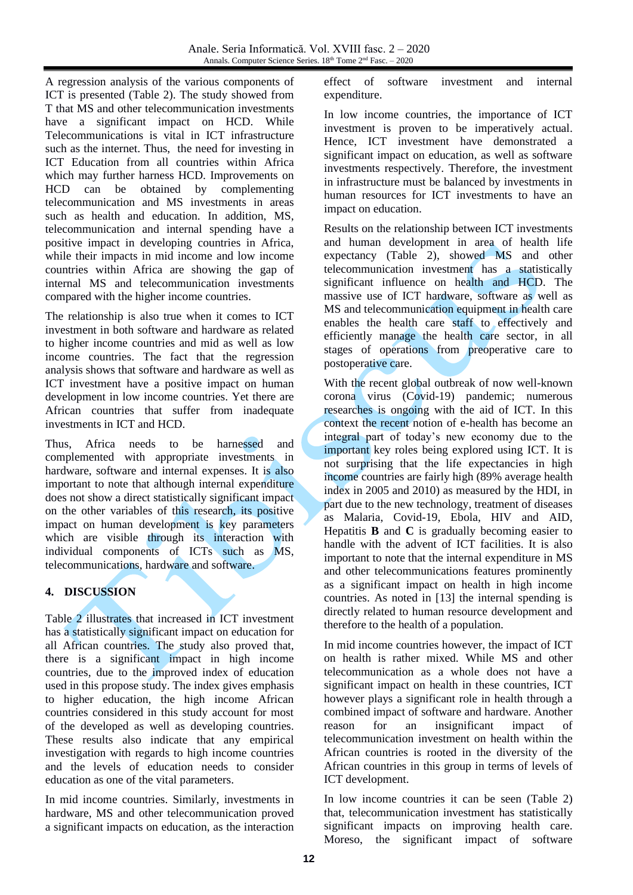A regression analysis of the various components of ICT is presented (Table 2). The study showed from T that MS and other telecommunication investments have a significant impact on HCD. While Telecommunications is vital in ICT infrastructure such as the internet. Thus, the need for investing in ICT Education from all countries within Africa which may further harness HCD. Improvements on HCD can be obtained by complementing telecommunication and MS investments in areas such as health and education. In addition, MS, telecommunication and internal spending have a positive impact in developing countries in Africa, while their impacts in mid income and low income countries within Africa are showing the gap of internal MS and telecommunication investments compared with the higher income countries.

The relationship is also true when it comes to ICT investment in both software and hardware as related to higher income countries and mid as well as low income countries. The fact that the regression analysis shows that software and hardware as well as ICT investment have a positive impact on human development in low income countries. Yet there are African countries that suffer from inadequate investments in ICT and HCD.

Thus, Africa needs to be harnessed and complemented with appropriate investments in hardware, software and internal expenses. It is also important to note that although internal expenditure does not show a direct statistically significant impact on the other variables of this research, its positive impact on human development is key parameters which are visible through its interaction with individual components of ICTs such as MS, telecommunications, hardware and software.

## **4. DISCUSSION**

Table 2 illustrates that increased in ICT investment has a statistically significant impact on education for all African countries. The study also proved that, there is a significant impact in high income countries, due to the improved index of education used in this propose study. The index gives emphasis to higher education, the high income African countries considered in this study account for most of the developed as well as developing countries. These results also indicate that any empirical investigation with regards to high income countries and the levels of education needs to consider education as one of the vital parameters.

In mid income countries. Similarly, investments in hardware, MS and other telecommunication proved a significant impacts on education, as the interaction effect of software investment and internal expenditure.

In low income countries, the importance of ICT investment is proven to be imperatively actual. Hence, ICT investment have demonstrated a significant impact on education, as well as software investments respectively. Therefore, the investment in infrastructure must be balanced by investments in human resources for ICT investments to have an impact on education.

Results on the relationship between ICT investments and human development in area of health life expectancy (Table 2), showed MS and other telecommunication investment has a statistically significant influence on health and HCD. The massive use of ICT hardware, software as well as MS and telecommunication equipment in health care enables the health care staff to effectively and efficiently manage the health care sector, in all stages of operations from preoperative care to postoperative care.

With the recent global outbreak of now well-known corona virus (Covid-19) pandemic; numerous researches is ongoing with the aid of ICT. In this context the recent notion of e-health has become an integral part of today's new economy due to the important key roles being explored using ICT. It is not surprising that the life expectancies in high income countries are fairly high (89% average health index in 2005 and 2010) as measured by the HDI, in part due to the new technology, treatment of diseases as Malaria, Covid-19, Ebola, HIV and AID, Hepatitis **B** and **C** is gradually becoming easier to handle with the advent of ICT facilities. It is also important to note that the internal expenditure in MS and other telecommunications features prominently as a significant impact on health in high income countries. As noted in [\[13\]](#page-4-9) the internal spending is directly related to human resource development and therefore to the health of a population.

In mid income countries however, the impact of ICT on health is rather mixed. While MS and other telecommunication as a whole does not have a significant impact on health in these countries, ICT however plays a significant role in health through a combined impact of software and hardware. Another reason for an insignificant impact of telecommunication investment on health within the African countries is rooted in the diversity of the African countries in this group in terms of levels of ICT development.

In low income countries it can be seen (Table 2) that, telecommunication investment has statistically significant impacts on improving health care. Moreso, the significant impact of software